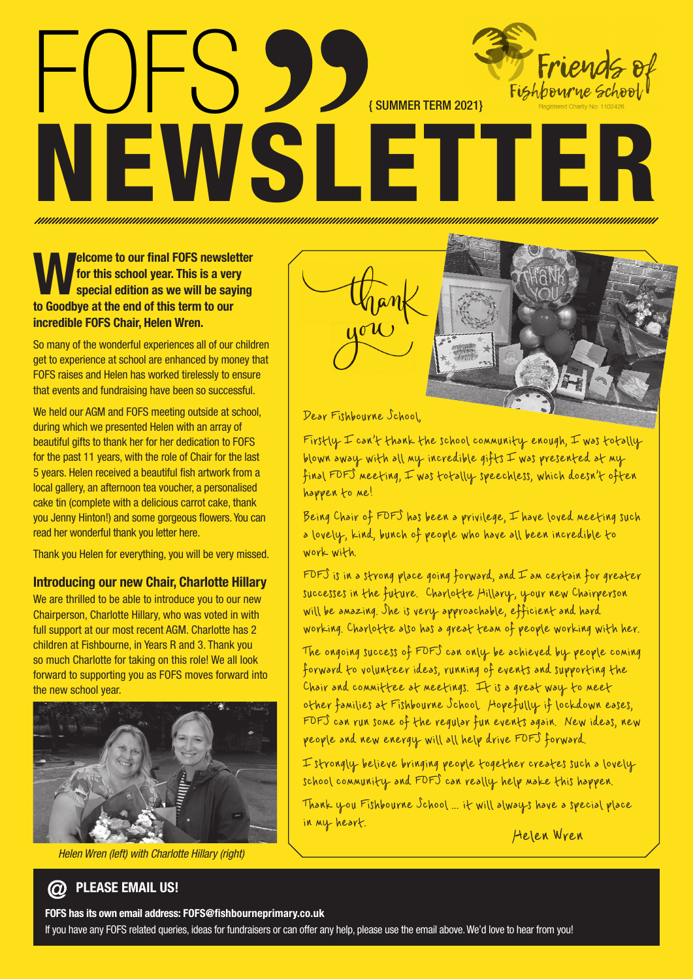# FOFS SS ENLIMMER TERM 2021 Friends Fishbourne school NEWSLETTER

# **Welcome to our final FOFS newsletter**<br> **We for this school year. This is a very special edition as we will be saying**<br> **As Coording at the and of this term to our for this school year. This is a very special edition as we will be saying to Goodbye at the end of this term to our incredible FOFS Chair, Helen Wren.**

So many of the wonderful experiences all of our children get to experience at school are enhanced by money that FOFS raises and Helen has worked tirelessly to ensure that events and fundraising have been so successful.

We held our AGM and FOFS meeting outside at school, during which we presented Helen with an array of beautiful gifts to thank her for her dedication to FOFS for the past 11 years, with the role of Chair for the last 5 years. Helen received a beautiful fish artwork from a local gallery, an afternoon tea voucher, a personalised cake tin (complete with a delicious carrot cake, thank you Jenny Hinton!) and some gorgeous flowers. You can read her wonderful thank you letter here.

Thank you Helen for everything, you will be very missed.

# **Introducing our new Chair, Charlotte Hillary**

We are thrilled to be able to introduce you to our new Chairperson, Charlotte Hillary, who was voted in with full support at our most recent AGM. Charlotte has 2 children at Fishbourne, in Years R and 3. Thank you so much Charlotte for taking on this role! We all look forward to supporting you as FOFS moves forward into the new school year.



*Helen Wren (left) with Charlotte Hillary (right)*



Firstly  $\mp$  can't thank the school community enough,  $\mp$  was totally blown away with all my incredible gifts  $\pm$  was presented at my final FOFS meeting, I was totally speechless, which doesn't often happen to me!

Being Chair of FOFS has been a privilege, I have loved meeting such a lovely, kind, bunch of people who have all been incredible to work with.

 $F$  is in a strong place going forward, and  $\mp$  an certain for greater successes in the future. Charlotte Hillary, your new Chairperson will be amazing. She is very approachable, efficient and hard working. Charlotte also has a great team of people working with her.

The ongoing success of FOFS can only be achieved by people coming forward to volunteer ideas, running of events and supporting the Chair and committee at meetings. It is a great way to meet other families at Fishbourne School. Hopefully if lockdown eases, FOFS can run some of the regular fun events again. New ideas, new people and new energy will all help drive FOFS forward.

I strongly believe bringing people together creates such a lovely school community and FOFS can really help make this happen.

Thank you Fishbourne School ... it will always have a special place in my heart.

Helen Wren

# **PLEASE EMAIL US!**

#### **FOFS has its own email address: FOFS@fishbourneprimary.co.uk**

If you have any FOFS related queries, ideas for fundraisers or can offer any help, please use the email above. We'd love to hear from you!